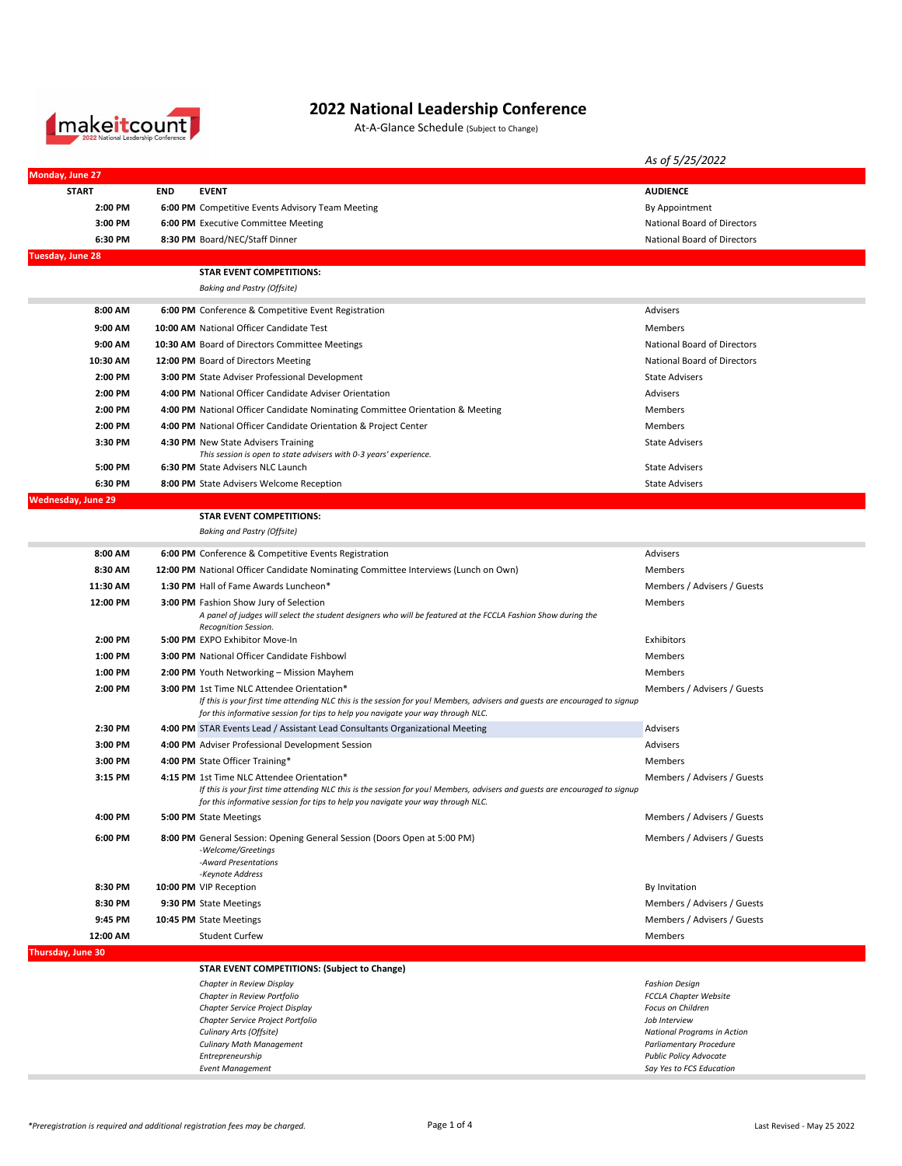

## **2022 National Leadership Conference**

At-A-Glance Schedule (Subject to Change)

|                           |            |                                                                                                                                                                                                                                                                      | As of 5/25/2022                                               |
|---------------------------|------------|----------------------------------------------------------------------------------------------------------------------------------------------------------------------------------------------------------------------------------------------------------------------|---------------------------------------------------------------|
| Monday, June 27           |            |                                                                                                                                                                                                                                                                      |                                                               |
| <b>START</b>              | <b>END</b> | <b>EVENT</b>                                                                                                                                                                                                                                                         | <b>AUDIENCE</b>                                               |
| 2:00 PM                   |            | 6:00 PM Competitive Events Advisory Team Meeting                                                                                                                                                                                                                     | By Appointment                                                |
| 3:00 PM                   |            | 6:00 PM Executive Committee Meeting                                                                                                                                                                                                                                  | National Board of Directors                                   |
| 6:30 PM                   |            | 8:30 PM Board/NEC/Staff Dinner                                                                                                                                                                                                                                       | National Board of Directors                                   |
| Tuesday, June 28          |            | <b>STAR EVENT COMPETITIONS:</b>                                                                                                                                                                                                                                      |                                                               |
|                           |            | <b>Baking and Pastry (Offsite)</b>                                                                                                                                                                                                                                   |                                                               |
| 8:00 AM                   |            | 6:00 PM Conference & Competitive Event Registration                                                                                                                                                                                                                  | Advisers                                                      |
| 9:00 AM                   |            | 10:00 AM National Officer Candidate Test                                                                                                                                                                                                                             | Members                                                       |
| 9:00 AM                   |            | 10:30 AM Board of Directors Committee Meetings                                                                                                                                                                                                                       | <b>National Board of Directors</b>                            |
| 10:30 AM                  |            | 12:00 PM Board of Directors Meeting                                                                                                                                                                                                                                  | National Board of Directors                                   |
| 2:00 PM                   |            | <b>3:00 PM</b> State Adviser Professional Development                                                                                                                                                                                                                | <b>State Advisers</b>                                         |
| 2:00 PM                   |            | 4:00 PM National Officer Candidate Adviser Orientation                                                                                                                                                                                                               | Advisers                                                      |
| 2:00 PM                   |            | 4:00 PM National Officer Candidate Nominating Committee Orientation & Meeting                                                                                                                                                                                        | Members                                                       |
| 2:00 PM                   |            | 4:00 PM National Officer Candidate Orientation & Project Center                                                                                                                                                                                                      | Members                                                       |
| 3:30 PM                   |            | 4:30 PM New State Advisers Training                                                                                                                                                                                                                                  | <b>State Advisers</b>                                         |
| 5:00 PM                   |            | This session is open to state advisers with 0-3 years' experience.<br>6:30 PM State Advisers NLC Launch                                                                                                                                                              | <b>State Advisers</b>                                         |
| 6:30 PM                   |            | 8:00 PM State Advisers Welcome Reception                                                                                                                                                                                                                             | <b>State Advisers</b>                                         |
| <b>Wednesday, June 29</b> |            |                                                                                                                                                                                                                                                                      |                                                               |
|                           |            | <b>STAR EVENT COMPETITIONS:</b>                                                                                                                                                                                                                                      |                                                               |
|                           |            | <b>Baking and Pastry (Offsite)</b>                                                                                                                                                                                                                                   |                                                               |
| 8:00 AM                   |            | 6:00 PM Conference & Competitive Events Registration                                                                                                                                                                                                                 | Advisers                                                      |
| 8:30 AM                   |            | 12:00 PM National Officer Candidate Nominating Committee Interviews (Lunch on Own)                                                                                                                                                                                   | Members                                                       |
| 11:30 AM                  |            | 1:30 PM Hall of Fame Awards Luncheon*                                                                                                                                                                                                                                | Members / Advisers / Guests                                   |
| 12:00 PM                  |            | 3:00 PM Fashion Show Jury of Selection<br>A panel of judges will select the student designers who will be featured at the FCCLA Fashion Show during the<br>Recognition Session.                                                                                      | Members                                                       |
| 2:00 PM                   |            | 5:00 PM EXPO Exhibitor Move-In                                                                                                                                                                                                                                       | Exhibitors                                                    |
| 1:00 PM                   |            | <b>3:00 PM</b> National Officer Candidate Fishbowl                                                                                                                                                                                                                   | Members                                                       |
| 1:00 PM                   |            | 2:00 PM Youth Networking - Mission Mayhem                                                                                                                                                                                                                            | Members                                                       |
| 2:00 PM                   |            | <b>3:00 PM</b> 1st Time NLC Attendee Orientation*<br>If this is your first time attending NLC this is the session for you! Members, advisers and guests are encouraged to signup<br>for this informative session for tips to help you navigate your way through NLC. | Members / Advisers / Guests                                   |
| 2:30 PM                   |            | 4:00 PM STAR Events Lead / Assistant Lead Consultants Organizational Meeting                                                                                                                                                                                         | Advisers                                                      |
| 3:00 PM                   |            | 4:00 PM Adviser Professional Development Session                                                                                                                                                                                                                     | Advisers                                                      |
| 3:00 PM                   |            | 4:00 PM State Officer Training*                                                                                                                                                                                                                                      | Members                                                       |
| 3:15 PM                   |            | 4:15 PM 1st Time NLC Attendee Orientation*<br>If this is your first time attending NLC this is the session for you! Members, advisers and guests are encouraged to signup<br>for this informative session for tips to help you navigate your way through NLC.        | Members / Advisers / Guests                                   |
| 4:00 PM                   |            | 5:00 PM State Meetings                                                                                                                                                                                                                                               | Members / Advisers / Guests                                   |
| 6:00 PM                   |            | 8:00 PM General Session: Opening General Session (Doors Open at 5:00 PM)<br>-Welcome/Greetings<br>-Award Presentations<br>-Keynote Address                                                                                                                           | Members / Advisers / Guests                                   |
| 8:30 PM                   |            | 10:00 PM VIP Reception                                                                                                                                                                                                                                               | By Invitation                                                 |
| 8:30 PM                   |            | 9:30 PM State Meetings                                                                                                                                                                                                                                               | Members / Advisers / Guests                                   |
| 9:45 PM                   |            | 10:45 PM State Meetings                                                                                                                                                                                                                                              | Members / Advisers / Guests                                   |
| 12:00 AM                  |            | <b>Student Curfew</b>                                                                                                                                                                                                                                                | Members                                                       |
| Thursday, June 30         |            |                                                                                                                                                                                                                                                                      |                                                               |
|                           |            | <b>STAR EVENT COMPETITIONS: (Subject to Change)</b>                                                                                                                                                                                                                  |                                                               |
|                           |            | Chapter in Review Display                                                                                                                                                                                                                                            | <b>Fashion Design</b>                                         |
|                           |            | Chapter in Review Portfolio<br>Chapter Service Project Display                                                                                                                                                                                                       | FCCLA Chapter Website<br>Focus on Children                    |
|                           |            | Chapter Service Project Portfolio                                                                                                                                                                                                                                    | Job Interview                                                 |
|                           |            | Culinary Arts (Offsite)<br>Culinary Math Management                                                                                                                                                                                                                  | National Programs in Action<br><b>Parliamentary Procedure</b> |
|                           |            | Entrepreneurship                                                                                                                                                                                                                                                     | <b>Public Policy Advocate</b>                                 |
|                           |            | <b>Event Management</b>                                                                                                                                                                                                                                              | Say Yes to FCS Education                                      |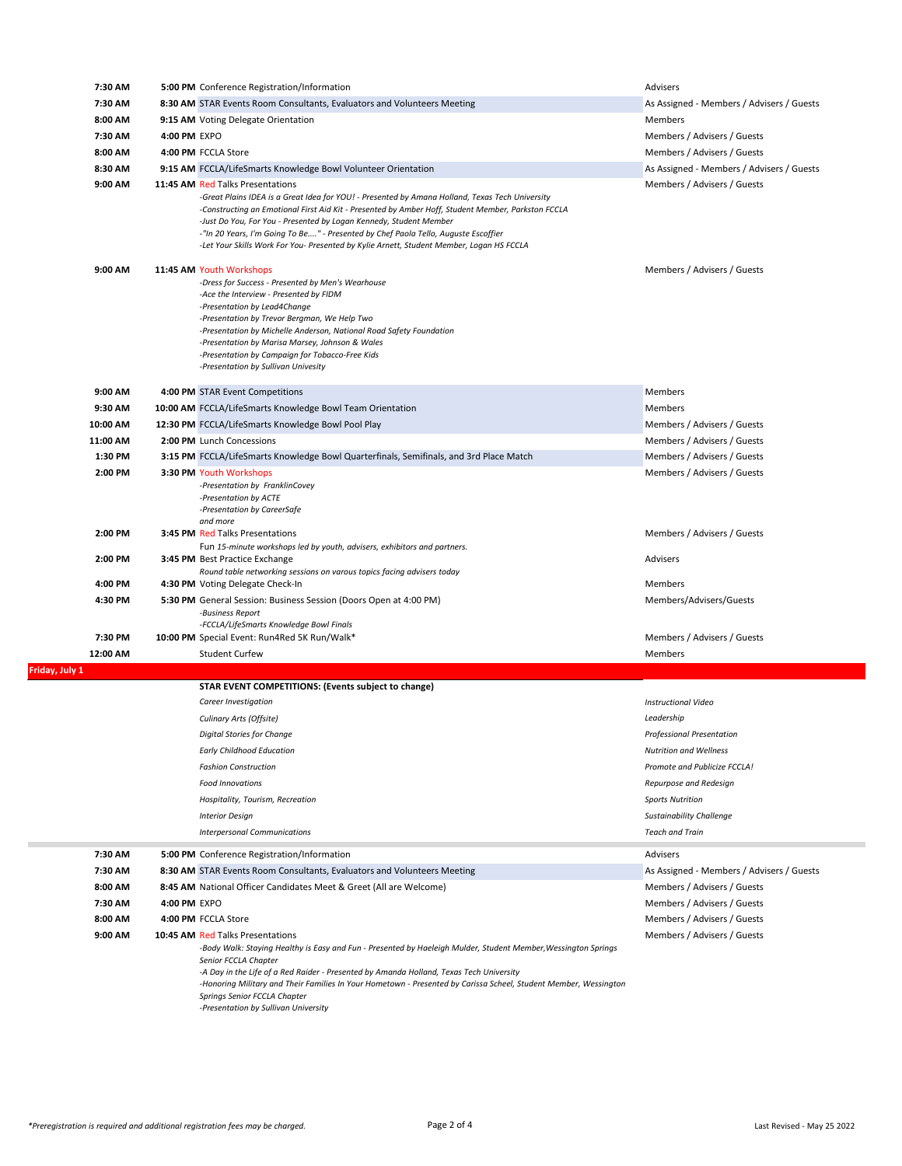| 7:30 AM        | 5:00 PM Conference Registration/Information                                                                                                                                                                                                                                                                                                                                                                                                                       | Advisers                                  |  |
|----------------|-------------------------------------------------------------------------------------------------------------------------------------------------------------------------------------------------------------------------------------------------------------------------------------------------------------------------------------------------------------------------------------------------------------------------------------------------------------------|-------------------------------------------|--|
| 7:30 AM        | 8:30 AM STAR Events Room Consultants, Evaluators and Volunteers Meeting                                                                                                                                                                                                                                                                                                                                                                                           | As Assigned - Members / Advisers / Guests |  |
| 8:00 AM        | 9:15 AM Voting Delegate Orientation                                                                                                                                                                                                                                                                                                                                                                                                                               | Members                                   |  |
| 7:30 AM        | 4:00 PM EXPO                                                                                                                                                                                                                                                                                                                                                                                                                                                      | Members / Advisers / Guests               |  |
| 8:00 AM        | 4:00 PM FCCLA Store                                                                                                                                                                                                                                                                                                                                                                                                                                               | Members / Advisers / Guests               |  |
| 8:30 AM        | 9:15 AM FCCLA/LifeSmarts Knowledge Bowl Volunteer Orientation                                                                                                                                                                                                                                                                                                                                                                                                     | As Assigned - Members / Advisers / Guests |  |
| 9:00 AM        | 11:45 AM Red Talks Presentations                                                                                                                                                                                                                                                                                                                                                                                                                                  | Members / Advisers / Guests               |  |
|                | Great Plains IDEA is a Great Idea for YOU! - Presented by Amana Holland, Texas Tech University-<br>-Constructing an Emotional First Aid Kit - Presented by Amber Hoff, Student Member, Parkston FCCLA<br>-Just Do You, For You - Presented by Logan Kennedy, Student Member<br>-"In 20 Years, I'm Going To Be" - Presented by Chef Paola Tello, Auguste Escoffier<br>-Let Your Skills Work For You- Presented by Kylie Arnett, Student Member, Logan HS FCCLA     |                                           |  |
| 9:00 AM        | 11:45 AM Youth Workshops<br>-Dress for Success - Presented by Men's Wearhouse<br>-Ace the Interview - Presented by FIDM<br>-Presentation by Lead4Change<br>-Presentation by Trevor Bergman, We Help Two<br>-Presentation by Michelle Anderson, National Road Safety Foundation<br>-Presentation by Marisa Marsey, Johnson & Wales<br>-Presentation by Campaign for Tobacco-Free Kids<br>-Presentation by Sullivan Univesity                                       | Members / Advisers / Guests               |  |
| 9:00 AM        | 4:00 PM STAR Event Competitions                                                                                                                                                                                                                                                                                                                                                                                                                                   | Members                                   |  |
| 9:30 AM        | 10:00 AM FCCLA/LifeSmarts Knowledge Bowl Team Orientation                                                                                                                                                                                                                                                                                                                                                                                                         | Members                                   |  |
| 10:00 AM       | 12:30 PM FCCLA/LifeSmarts Knowledge Bowl Pool Play                                                                                                                                                                                                                                                                                                                                                                                                                | Members / Advisers / Guests               |  |
| 11:00 AM       | 2:00 PM Lunch Concessions                                                                                                                                                                                                                                                                                                                                                                                                                                         | Members / Advisers / Guests               |  |
| 1:30 PM        | 3:15 PM FCCLA/LifeSmarts Knowledge Bowl Quarterfinals, Semifinals, and 3rd Place Match                                                                                                                                                                                                                                                                                                                                                                            | Members / Advisers / Guests               |  |
| 2:00 PM        | 3:30 PM Youth Workshops<br>-Presentation by FranklinCovey<br>-Presentation by ACTE<br>-Presentation by CareerSafe<br>and more                                                                                                                                                                                                                                                                                                                                     | Members / Advisers / Guests               |  |
| 2:00 PM        | <b>3:45 PM Red Talks Presentations</b>                                                                                                                                                                                                                                                                                                                                                                                                                            | Members / Advisers / Guests               |  |
| 2:00 PM        | Fun 15-minute workshops led by youth, advisers, exhibitors and partners.<br>3:45 PM Best Practice Exchange                                                                                                                                                                                                                                                                                                                                                        | Advisers                                  |  |
| 4:00 PM        | Round table networking sessions on varous topics facing advisers today<br>4:30 PM Voting Delegate Check-In                                                                                                                                                                                                                                                                                                                                                        | Members                                   |  |
| 4:30 PM        | 5:30 PM General Session: Business Session (Doors Open at 4:00 PM)<br>-Business Report                                                                                                                                                                                                                                                                                                                                                                             | Members/Advisers/Guests                   |  |
|                | -FCCLA/LifeSmarts Knowledge Bowl Finals                                                                                                                                                                                                                                                                                                                                                                                                                           |                                           |  |
| 7:30 PM        | 10:00 PM Special Event: Run4Red 5K Run/Walk*                                                                                                                                                                                                                                                                                                                                                                                                                      | Members / Advisers / Guests               |  |
| 12:00 AM       | <b>Student Curfew</b>                                                                                                                                                                                                                                                                                                                                                                                                                                             | <b>Members</b>                            |  |
| Friday, July 1 |                                                                                                                                                                                                                                                                                                                                                                                                                                                                   |                                           |  |
|                | STAR EVENT COMPETITIONS: (Events subject to change)                                                                                                                                                                                                                                                                                                                                                                                                               |                                           |  |
|                | Career Investigation                                                                                                                                                                                                                                                                                                                                                                                                                                              | <b>Instructional Video</b>                |  |
|                | Culinary Arts (Offsite)                                                                                                                                                                                                                                                                                                                                                                                                                                           | Leadership                                |  |
|                | Digital Stories for Change                                                                                                                                                                                                                                                                                                                                                                                                                                        | <b>Professional Presentation</b>          |  |
|                | <b>Early Childhood Education</b>                                                                                                                                                                                                                                                                                                                                                                                                                                  | <b>Nutrition and Wellness</b>             |  |
|                | <b>Fashion Construction</b>                                                                                                                                                                                                                                                                                                                                                                                                                                       | Promote and Publicize FCCLA!              |  |
|                | <b>Food Innovations</b>                                                                                                                                                                                                                                                                                                                                                                                                                                           | Repurpose and Redesign                    |  |
|                | Hospitality, Tourism, Recreation                                                                                                                                                                                                                                                                                                                                                                                                                                  | <b>Sports Nutrition</b>                   |  |
|                | <b>Interior Design</b>                                                                                                                                                                                                                                                                                                                                                                                                                                            | <b>Sustainability Challenge</b>           |  |
|                | <b>Interpersonal Communications</b>                                                                                                                                                                                                                                                                                                                                                                                                                               | <b>Teach and Train</b>                    |  |
| 7:30 AM        | 5:00 PM Conference Registration/Information                                                                                                                                                                                                                                                                                                                                                                                                                       | Advisers                                  |  |
| 7:30 AM        | 8:30 AM STAR Events Room Consultants, Evaluators and Volunteers Meeting                                                                                                                                                                                                                                                                                                                                                                                           | As Assigned - Members / Advisers / Guests |  |
| 8:00 AM        | 8:45 AM National Officer Candidates Meet & Greet (All are Welcome)                                                                                                                                                                                                                                                                                                                                                                                                | Members / Advisers / Guests               |  |
| 7:30 AM        | 4:00 PM EXPO                                                                                                                                                                                                                                                                                                                                                                                                                                                      | Members / Advisers / Guests               |  |
| 8:00 AM        | 4:00 PM FCCLA Store                                                                                                                                                                                                                                                                                                                                                                                                                                               | Members / Advisers / Guests               |  |
| 9:00 AM        | 10:45 AM Red Talks Presentations<br>-Body Walk: Staying Healthy is Easy and Fun - Presented by Haeleigh Mulder, Student Member, Wessington Springs<br>Senior FCCLA Chapter<br>-A Day in the Life of a Red Raider - Presented by Amanda Holland, Texas Tech University<br>-Honoring Military and Their Families In Your Hometown - Presented by Carissa Scheel, Student Member, Wessington<br>Springs Senior FCCLA Chapter<br>-Presentation by Sullivan University | Members / Advisers / Guests               |  |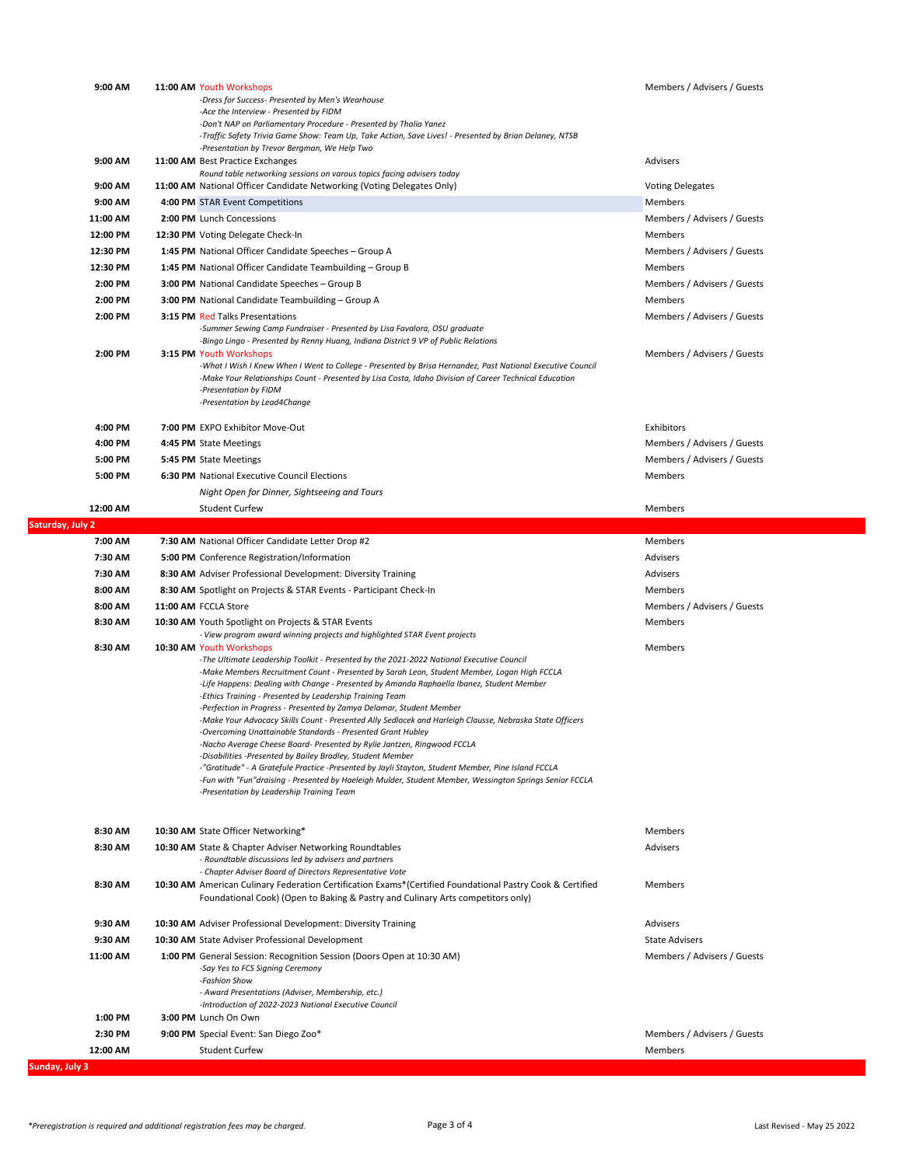| 9:00 AM          | 11:00 AM Youth Workshops<br>-Dress for Success- Presented by Men's Wearhouse<br>-Ace the Interview - Presented by FIDM<br>-Don't NAP on Parliamentary Procedure - Presented by Thalia Yanez<br>Traffic Safety Trivia Game Show: Team Up, Take Action, Save Lives! - Presented by Brian Delaney, NTSB-                                                                                                                                                                                                                                                                                                                                                                                                                                                                                                                                                                                                                                                                                                                                                                                                               | Members / Advisers / Guests |
|------------------|---------------------------------------------------------------------------------------------------------------------------------------------------------------------------------------------------------------------------------------------------------------------------------------------------------------------------------------------------------------------------------------------------------------------------------------------------------------------------------------------------------------------------------------------------------------------------------------------------------------------------------------------------------------------------------------------------------------------------------------------------------------------------------------------------------------------------------------------------------------------------------------------------------------------------------------------------------------------------------------------------------------------------------------------------------------------------------------------------------------------|-----------------------------|
| 9:00 AM          | -Presentation by Trevor Bergman, We Help Two<br>11:00 AM Best Practice Exchanges<br>Round table networking sessions on varous topics facing advisers today                                                                                                                                                                                                                                                                                                                                                                                                                                                                                                                                                                                                                                                                                                                                                                                                                                                                                                                                                          | Advisers                    |
| 9:00 AM          | 11:00 AM National Officer Candidate Networking (Voting Delegates Only)                                                                                                                                                                                                                                                                                                                                                                                                                                                                                                                                                                                                                                                                                                                                                                                                                                                                                                                                                                                                                                              | <b>Voting Delegates</b>     |
| 9:00 AM          | 4:00 PM STAR Event Competitions                                                                                                                                                                                                                                                                                                                                                                                                                                                                                                                                                                                                                                                                                                                                                                                                                                                                                                                                                                                                                                                                                     | Members                     |
| 11:00 AM         | 2:00 PM Lunch Concessions                                                                                                                                                                                                                                                                                                                                                                                                                                                                                                                                                                                                                                                                                                                                                                                                                                                                                                                                                                                                                                                                                           | Members / Advisers / Guests |
| 12:00 PM         | 12:30 PM Voting Delegate Check-In                                                                                                                                                                                                                                                                                                                                                                                                                                                                                                                                                                                                                                                                                                                                                                                                                                                                                                                                                                                                                                                                                   | Members                     |
| 12:30 PM         | 1:45 PM National Officer Candidate Speeches - Group A                                                                                                                                                                                                                                                                                                                                                                                                                                                                                                                                                                                                                                                                                                                                                                                                                                                                                                                                                                                                                                                               | Members / Advisers / Guests |
| 12:30 PM         | 1:45 PM National Officer Candidate Teambuilding - Group B                                                                                                                                                                                                                                                                                                                                                                                                                                                                                                                                                                                                                                                                                                                                                                                                                                                                                                                                                                                                                                                           | Members                     |
| 2:00 PM          | 3:00 PM National Candidate Speeches - Group B                                                                                                                                                                                                                                                                                                                                                                                                                                                                                                                                                                                                                                                                                                                                                                                                                                                                                                                                                                                                                                                                       | Members / Advisers / Guests |
| 2:00 PM          | 3:00 PM National Candidate Teambuilding - Group A                                                                                                                                                                                                                                                                                                                                                                                                                                                                                                                                                                                                                                                                                                                                                                                                                                                                                                                                                                                                                                                                   | Members                     |
| 2:00 PM          | <b>3:15 PM Red Talks Presentations</b><br>-Summer Sewing Camp Fundraiser - Presented by Lisa Favalora, OSU graduate<br>-Bingo Lingo - Presented by Renny Huang, Indiana District 9 VP of Public Relations                                                                                                                                                                                                                                                                                                                                                                                                                                                                                                                                                                                                                                                                                                                                                                                                                                                                                                           | Members / Advisers / Guests |
| 2:00 PM          | 3:15 PM Youth Workshops<br>-What I Wish I Knew When I Went to College - Presented by Brisa Hernandez, Past National Executive Council<br>-Make Your Relationships Count - Presented by Lisa Costa, Idaho Division of Career Technical Education<br>-Presentation by FIDM<br>-Presentation by Lead4Change                                                                                                                                                                                                                                                                                                                                                                                                                                                                                                                                                                                                                                                                                                                                                                                                            | Members / Advisers / Guests |
| 4:00 PM          | 7:00 PM EXPO Exhibitor Move-Out                                                                                                                                                                                                                                                                                                                                                                                                                                                                                                                                                                                                                                                                                                                                                                                                                                                                                                                                                                                                                                                                                     | Exhibitors                  |
| 4:00 PM          | 4:45 PM State Meetings                                                                                                                                                                                                                                                                                                                                                                                                                                                                                                                                                                                                                                                                                                                                                                                                                                                                                                                                                                                                                                                                                              | Members / Advisers / Guests |
| 5:00 PM          | 5:45 PM State Meetings                                                                                                                                                                                                                                                                                                                                                                                                                                                                                                                                                                                                                                                                                                                                                                                                                                                                                                                                                                                                                                                                                              | Members / Advisers / Guests |
| 5:00 PM          | 6:30 PM National Executive Council Elections                                                                                                                                                                                                                                                                                                                                                                                                                                                                                                                                                                                                                                                                                                                                                                                                                                                                                                                                                                                                                                                                        | Members                     |
|                  | Night Open for Dinner, Sightseeing and Tours                                                                                                                                                                                                                                                                                                                                                                                                                                                                                                                                                                                                                                                                                                                                                                                                                                                                                                                                                                                                                                                                        |                             |
| 12:00 AM         | <b>Student Curfew</b>                                                                                                                                                                                                                                                                                                                                                                                                                                                                                                                                                                                                                                                                                                                                                                                                                                                                                                                                                                                                                                                                                               | Members                     |
| Saturday, July 2 |                                                                                                                                                                                                                                                                                                                                                                                                                                                                                                                                                                                                                                                                                                                                                                                                                                                                                                                                                                                                                                                                                                                     |                             |
| 7:00 AM          | 7:30 AM National Officer Candidate Letter Drop #2                                                                                                                                                                                                                                                                                                                                                                                                                                                                                                                                                                                                                                                                                                                                                                                                                                                                                                                                                                                                                                                                   | Members                     |
| 7:30 AM          | 5:00 PM Conference Registration/Information                                                                                                                                                                                                                                                                                                                                                                                                                                                                                                                                                                                                                                                                                                                                                                                                                                                                                                                                                                                                                                                                         | Advisers                    |
| 7:30 AM          | 8:30 AM Adviser Professional Development: Diversity Training                                                                                                                                                                                                                                                                                                                                                                                                                                                                                                                                                                                                                                                                                                                                                                                                                                                                                                                                                                                                                                                        | Advisers                    |
| 8:00 AM          | 8:30 AM Spotlight on Projects & STAR Events - Participant Check-In                                                                                                                                                                                                                                                                                                                                                                                                                                                                                                                                                                                                                                                                                                                                                                                                                                                                                                                                                                                                                                                  | Members                     |
| 8:00 AM          | 11:00 AM FCCLA Store                                                                                                                                                                                                                                                                                                                                                                                                                                                                                                                                                                                                                                                                                                                                                                                                                                                                                                                                                                                                                                                                                                | Members / Advisers / Guests |
| 8:30 AM          | 10:30 AM Youth Spotlight on Projects & STAR Events                                                                                                                                                                                                                                                                                                                                                                                                                                                                                                                                                                                                                                                                                                                                                                                                                                                                                                                                                                                                                                                                  | Members                     |
| 8:30 AM          | - View program award winning projects and highlighted STAR Event projects<br>10:30 AM Youth Workshops<br>-The Ultimate Leadership Toolkit - Presented by the 2021-2022 National Executive Council<br>-Make Members Recruitment Count - Presented by Sarah Leon, Student Member, Logan High FCCLA<br>-Life Happens: Dealing with Change - Presented by Amanda Raphaella Ibanez, Student Member<br>-Ethics Training - Presented by Leadership Training Team<br>-Perfection in Progress - Presented by Zamya Delamar, Student Member<br>-Make Your Advocacy Skills Count - Presented Ally Sedlacek and Harleigh Clausse, Nebraska State Officers<br>-Overcoming Unattainable Standards - Presented Grant Hubley<br>-Nacho Average Cheese Board- Presented by Rylie Jantzen, Ringwood FCCLA<br>-Disabilities -Presented by Bailey Bradley, Student Member<br>-"Gratitude" - A Gratefule Practice -Presented by Jayli Stayton, Student Member, Pine Island FCCLA<br>-Fun with "Fun"draising - Presented by Haeleigh Mulder, Student Member, Wessington Springs Senior FCCLA<br>-Presentation by Leadership Training Team | Members                     |
| 8:30 AM          | 10:30 AM State Officer Networking*                                                                                                                                                                                                                                                                                                                                                                                                                                                                                                                                                                                                                                                                                                                                                                                                                                                                                                                                                                                                                                                                                  | Members                     |
| 8:30 AM          | 10:30 AM State & Chapter Adviser Networking Roundtables<br>- Roundtable discussions led by advisers and partners<br>- Chapter Adviser Board of Directors Representative Vote                                                                                                                                                                                                                                                                                                                                                                                                                                                                                                                                                                                                                                                                                                                                                                                                                                                                                                                                        | Advisers                    |
| 8:30 AM          | 10:30 AM American Culinary Federation Certification Exams*(Certified Foundational Pastry Cook & Certified<br>Foundational Cook) (Open to Baking & Pastry and Culinary Arts competitors only)                                                                                                                                                                                                                                                                                                                                                                                                                                                                                                                                                                                                                                                                                                                                                                                                                                                                                                                        | Members                     |
| 9:30 AM          | 10:30 AM Adviser Professional Development: Diversity Training                                                                                                                                                                                                                                                                                                                                                                                                                                                                                                                                                                                                                                                                                                                                                                                                                                                                                                                                                                                                                                                       | Advisers                    |
| 9:30 AM          | 10:30 AM State Adviser Professional Development                                                                                                                                                                                                                                                                                                                                                                                                                                                                                                                                                                                                                                                                                                                                                                                                                                                                                                                                                                                                                                                                     | <b>State Advisers</b>       |
| 11:00 AM         | 1:00 PM General Session: Recognition Session (Doors Open at 10:30 AM)<br>-Say Yes to FCS Signing Ceremony<br>-Fashion Show<br>- Award Presentations (Adviser, Membership, etc.)                                                                                                                                                                                                                                                                                                                                                                                                                                                                                                                                                                                                                                                                                                                                                                                                                                                                                                                                     | Members / Advisers / Guests |
| 1:00 PM          | -Introduction of 2022-2023 National Executive Council<br>3:00 PM Lunch On Own                                                                                                                                                                                                                                                                                                                                                                                                                                                                                                                                                                                                                                                                                                                                                                                                                                                                                                                                                                                                                                       |                             |
| 2:30 PM          | 9:00 PM Special Event: San Diego Zoo*                                                                                                                                                                                                                                                                                                                                                                                                                                                                                                                                                                                                                                                                                                                                                                                                                                                                                                                                                                                                                                                                               | Members / Advisers / Guests |
| 12:00 AM         | <b>Student Curfew</b>                                                                                                                                                                                                                                                                                                                                                                                                                                                                                                                                                                                                                                                                                                                                                                                                                                                                                                                                                                                                                                                                                               | Members                     |
| Sunday, July 3   |                                                                                                                                                                                                                                                                                                                                                                                                                                                                                                                                                                                                                                                                                                                                                                                                                                                                                                                                                                                                                                                                                                                     |                             |